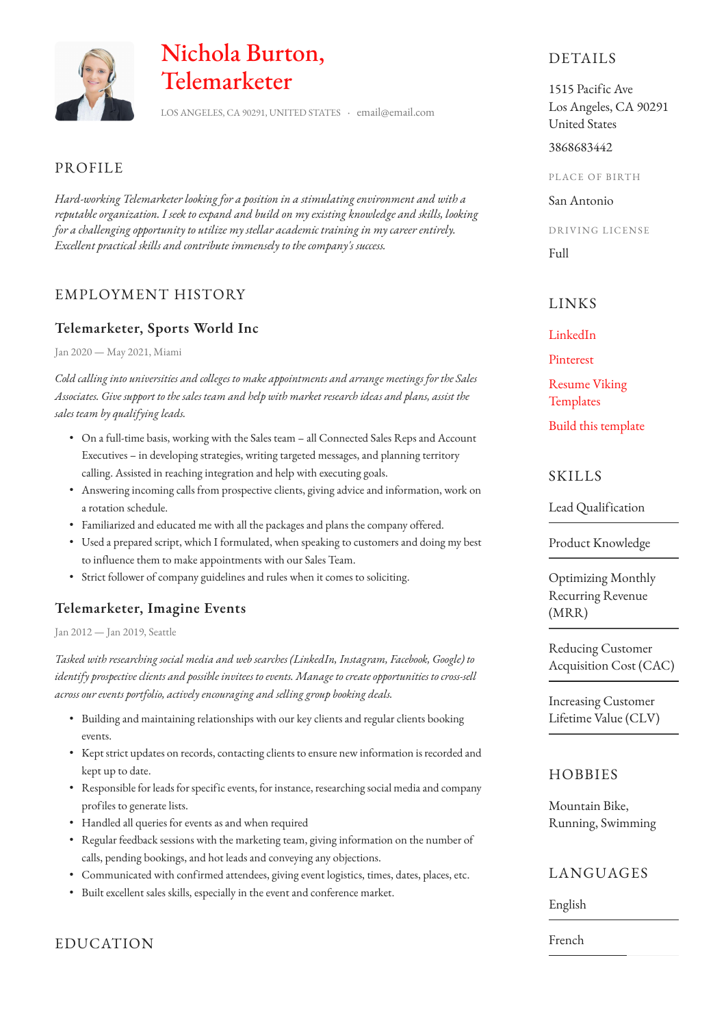

# Nichola Burton, Telemarketer

LOS ANGELES, CA 90291, UNITED STATES · email@email.com

### PROFILE

*Hard-working Telemarketer looking for a position in a stimulating environment and with a reputable organization. I seek to expand and build on my existing knowledge and skills, looking for a challenging opportunity to utilize my stellar academic training in my career entirely. Excellent practical skills and contribute immensely to the company's success.*

# EMPLOYMENT HISTORY

# **Telemarketer, Sports World Inc**

Jan 2020 — May 2021, Miami

*Cold calling into universities and colleges to make appointments and arrange meetings for the Sales Associates. Give support to the sales team and help with market research ideas and plans, assist the sales team by qualifying leads.*

- On a full-time basis, working with the Sales team all Connected Sales Reps and Account Executives – in developing strategies, writing targeted messages, and planning territory calling. Assisted in reaching integration and help with executing goals.
- Answering incoming calls from prospective clients, giving advice and information, work on a rotation schedule.
- Familiarized and educated me with all the packages and plans the company offered.
- Used a prepared script, which I formulated, when speaking to customers and doing my best to influence them to make appointments with our Sales Team.
- Strict follower of company guidelines and rules when it comes to soliciting.

# **Telemarketer, Imagine Events**

Jan 2012 — Jan 2019, Seattle

*Tasked with researching social media and web searches (LinkedIn, Instagram, Facebook, Google) to identify prospective clients and possible invitees to events. Manage to create opportunities to cross-sell across our events portfolio, actively encouraging and selling group booking deals.*

- Building and maintaining relationships with our key clients and regular clients booking events.
- Kept strict updates on records, contacting clients to ensure new information is recorded and kept up to date.
- Responsible for leads for specific events, for instance, researching social media and company profiles to generate lists.
- Handled all queries for events as and when required
- Regular feedback sessions with the marketing team, giving information on the number of calls, pending bookings, and hot leads and conveying any objections.
- Communicated with confirmed attendees, giving event logistics, times, dates, places, etc.
- Built excellent sales skills, especially in the event and conference market.

EDUCATION

# DETAILS

1515 Pacific Ave Los Angeles, CA 90291 United States

3868683442

PLACE OF BIRTH

San Antonio

DRIVING LICENSE

Full

# LINKS

#### [LinkedIn](https://www.linkedin.com/)

[Pinterest](https://www.pinterest.es/resumeviking/)

[Resume Viking](https://www.resumeviking.com/templates/word/)  **[Templates](https://www.resumeviking.com/templates/word/)** 

[Build this template](https://resume.io/?id=cpdokyF1)

#### **SKILLS**

Lead Qualification

Product Knowledge

Optimizing Monthly Recurring Revenue (MRR)

Reducing Customer Acquisition Cost (CAC)

Increasing Customer Lifetime Value (CLV)

# **HOBBIES**

Mountain Bike, Running, Swimming

# LANGUAGES

English

French